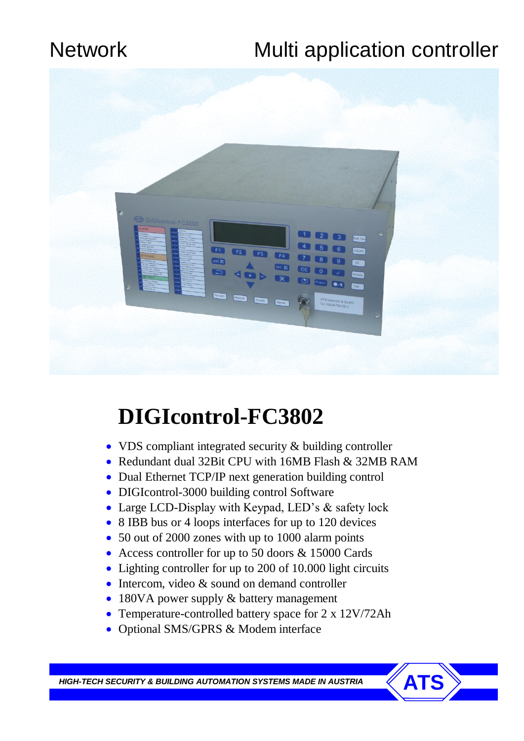# Network Multi application controller



# **DIGIcontrol-FC3802**

- VDS compliant integrated security & building controller
- Redundant dual 32Bit CPU with 16MB Flash & 32MB RAM
- Dual Ethernet TCP/IP next generation building control
- DIGIcontrol-3000 building control Software
- Large LCD-Display with Keypad, LED's & safety lock
- 8 IBB bus or 4 loops interfaces for up to 120 devices
- 50 out of 2000 zones with up to 1000 alarm points
- Access controller for up to 50 doors & 15000 Cards
- Lighting controller for up to 200 of 10.000 light circuits
- Intercom, video & sound on demand controller
- 180VA power supply & battery management
- Temperature-controlled battery space for 2 x 12V/72Ah
- Optional SMS/GPRS & Modem interface

**HIGH-TECH SECURITY & BUILDING AUTOMATION SYSTEMS MADE IN AUSTRIA**